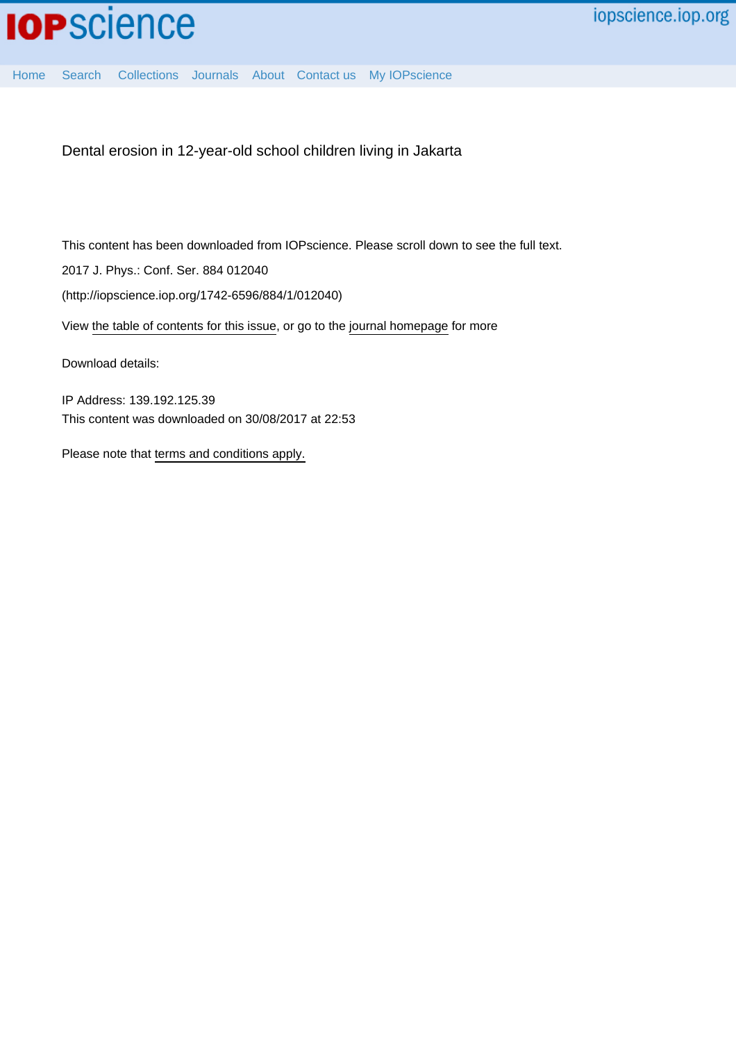[Home](http://iopscience.iop.org/) [Search](http://iopscience.iop.org/search) [Collections](http://iopscience.iop.org/collections) [Journals](http://iopscience.iop.org/journals) [About](http://iopscience.iop.org/page/aboutioppublishing) [Contact us](http://iopscience.iop.org/contact) [My IOPscience](http://iopscience.iop.org/myiopscience)

Dental erosion in 12-year-old school children living in Jakarta

This content has been downloaded from IOPscience. Please scroll down to see the full text.

2017 J. Phys.: Conf. Ser. 884 012040

(http://iopscience.iop.org/1742-6596/884/1/012040)

View [the table of contents for this issue](http://iopscience.iop.org/1742-6596/884/1), or go to the [journal homepage](http://iopscience.iop.org/1742-6596) for more

Download details:

IP Address: 139.192.125.39 This content was downloaded on 30/08/2017 at 22:53

Please note that [terms and conditions apply.](http://iopscience.iop.org/page/terms)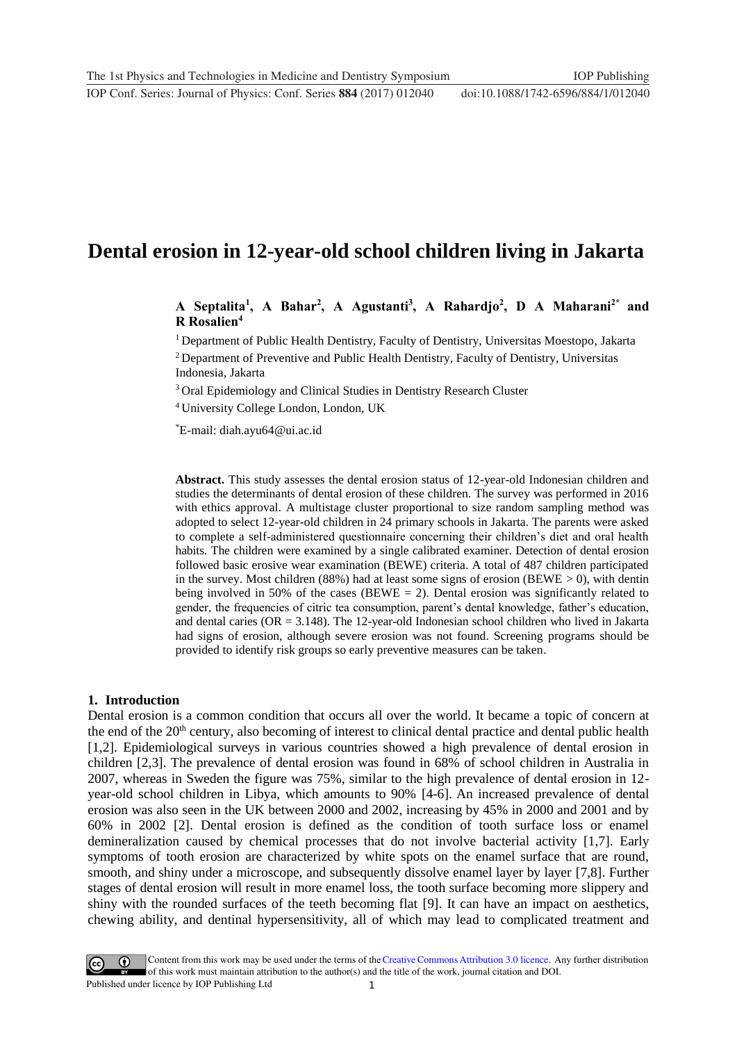# **Dental erosion in 12-year-old school children living in Jakarta**

**A Septalita<sup>1</sup> , A Bahar<sup>2</sup> , A Agustanti<sup>3</sup> , A Rahardjo<sup>2</sup> , D A Maharani2\* and R Rosalien<sup>4</sup>**

<sup>1</sup> Department of Public Health Dentistry, Faculty of Dentistry, Universitas Moestopo, Jakarta

<sup>2</sup> Department of Preventive and Public Health Dentistry, Faculty of Dentistry, Universitas Indonesia, Jakarta

<sup>3</sup> Oral Epidemiology and Clinical Studies in Dentistry Research Cluster

<sup>4</sup> University College London, London, UK

\*E-mail: diah.ayu64@ui.ac.id

**Abstract.** This study assesses the dental erosion status of 12-year-old Indonesian children and studies the determinants of dental erosion of these children. The survey was performed in 2016 with ethics approval. A multistage cluster proportional to size random sampling method was adopted to select 12-year-old children in 24 primary schools in Jakarta. The parents were asked to complete a self-administered questionnaire concerning their children's diet and oral health habits. The children were examined by a single calibrated examiner. Detection of dental erosion followed basic erosive wear examination (BEWE) criteria. A total of 487 children participated in the survey. Most children (88%) had at least some signs of erosion (BEWE  $> 0$ ), with dentin being involved in 50% of the cases (BEWE  $= 2$ ). Dental erosion was significantly related to gender, the frequencies of citric tea consumption, parent's dental knowledge, father's education, and dental caries (OR = 3.148). The 12-year-old Indonesian school children who lived in Jakarta had signs of erosion, although severe erosion was not found. Screening programs should be provided to identify risk groups so early preventive measures can be taken.

## **1. Introduction**

Dental erosion is a common condition that occurs all over the world. It became a topic of concern at the end of the 20<sup>th</sup> century, also becoming of interest to clinical dental practice and dental public health [1,2]. Epidemiological surveys in various countries showed a high prevalence of dental erosion in children [2,3]. The prevalence of dental erosion was found in 68% of school children in Australia in 2007, whereas in Sweden the figure was 75%, similar to the high prevalence of dental erosion in 12 year-old school children in Libya, which amounts to 90% [4-6]. An increased prevalence of dental erosion was also seen in the UK between 2000 and 2002, increasing by 45% in 2000 and 2001 and by 60% in 2002 [2]. Dental erosion is defined as the condition of tooth surface loss or enamel demineralization caused by chemical processes that do not involve bacterial activity [1,7]. Early symptoms of tooth erosion are characterized by white spots on the enamel surface that are round, smooth, and shiny under a microscope, and subsequently dissolve enamel layer by layer [7,8]. Further stages of dental erosion will result in more enamel loss, the tooth surface becoming more slippery and shiny with the rounded surfaces of the teeth becoming flat [9]. It can have an impact on aesthetics, chewing ability, and dentinal hypersensitivity, all of which may lead to complicated treatment and

1 Content from this work may be used under the terms of the [Creative Commons Attribution 3.0 licence.](http://creativecommons.org/licenses/by/3.0) Any further distribution of this work must maintain attribution to the author(s) and the title of the work, journal citation and DOI. Published under licence by IOP Publishing Ltd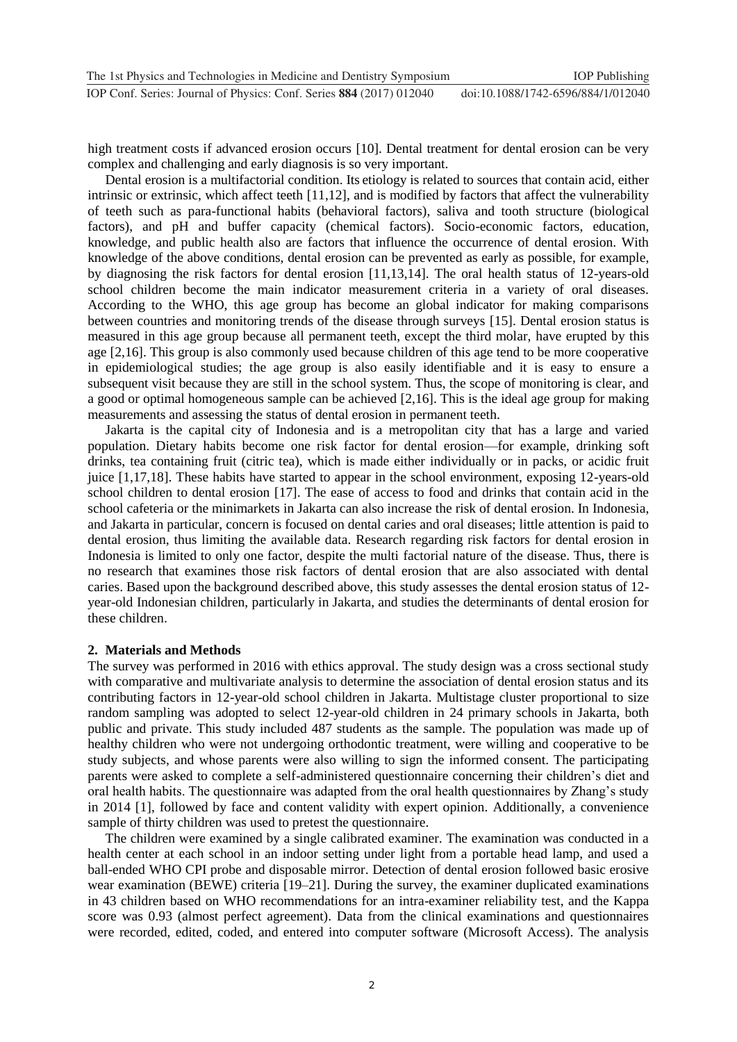high treatment costs if advanced erosion occurs [10]. Dental treatment for dental erosion can be very complex and challenging and early diagnosis is so very important.

Dental erosion is a multifactorial condition. Its etiology is related to sources that contain acid, either intrinsic or extrinsic, which affect teeth [11,12], and is modified by factors that affect the vulnerability of teeth such as para-functional habits (behavioral factors), saliva and tooth structure (biological factors), and pH and buffer capacity (chemical factors). Socio-economic factors, education, knowledge, and public health also are factors that influence the occurrence of dental erosion. With knowledge of the above conditions, dental erosion can be prevented as early as possible, for example, by diagnosing the risk factors for dental erosion [11,13,14]. The oral health status of 12-years-old school children become the main indicator measurement criteria in a variety of oral diseases. According to the WHO, this age group has become an global indicator for making comparisons between countries and monitoring trends of the disease through surveys [15]. Dental erosion status is measured in this age group because all permanent teeth, except the third molar, have erupted by this age [2,16]. This group is also commonly used because children of this age tend to be more cooperative in epidemiological studies; the age group is also easily identifiable and it is easy to ensure a subsequent visit because they are still in the school system. Thus, the scope of monitoring is clear, and a good or optimal homogeneous sample can be achieved [2,16]. This is the ideal age group for making measurements and assessing the status of dental erosion in permanent teeth.

Jakarta is the capital city of Indonesia and is a metropolitan city that has a large and varied population. Dietary habits become one risk factor for dental erosion—for example, drinking soft drinks, tea containing fruit (citric tea), which is made either individually or in packs, or acidic fruit juice [1,17,18]. These habits have started to appear in the school environment, exposing 12-years-old school children to dental erosion [17]. The ease of access to food and drinks that contain acid in the school cafeteria or the minimarkets in Jakarta can also increase the risk of dental erosion. In Indonesia, and Jakarta in particular, concern is focused on dental caries and oral diseases; little attention is paid to dental erosion, thus limiting the available data. Research regarding risk factors for dental erosion in Indonesia is limited to only one factor, despite the multi factorial nature of the disease. Thus, there is no research that examines those risk factors of dental erosion that are also associated with dental caries. Based upon the background described above, this study assesses the dental erosion status of 12 year-old Indonesian children, particularly in Jakarta, and studies the determinants of dental erosion for these children.

## **2. Materials and Methods**

The survey was performed in 2016 with ethics approval. The study design was a cross sectional study with comparative and multivariate analysis to determine the association of dental erosion status and its contributing factors in 12-year-old school children in Jakarta. Multistage cluster proportional to size random sampling was adopted to select 12-year-old children in 24 primary schools in Jakarta, both public and private. This study included 487 students as the sample. The population was made up of healthy children who were not undergoing orthodontic treatment, were willing and cooperative to be study subjects, and whose parents were also willing to sign the informed consent. The participating parents were asked to complete a self-administered questionnaire concerning their children's diet and oral health habits. The questionnaire was adapted from the oral health questionnaires by Zhang's study in 2014 [1], followed by face and content validity with expert opinion. Additionally, a convenience sample of thirty children was used to pretest the questionnaire.

The children were examined by a single calibrated examiner. The examination was conducted in a health center at each school in an indoor setting under light from a portable head lamp, and used a ball-ended WHO CPI probe and disposable mirror. Detection of dental erosion followed basic erosive wear examination (BEWE) criteria [19–21]. During the survey, the examiner duplicated examinations in 43 children based on WHO recommendations for an intra-examiner reliability test, and the Kappa score was 0.93 (almost perfect agreement). Data from the clinical examinations and questionnaires were recorded, edited, coded, and entered into computer software (Microsoft Access). The analysis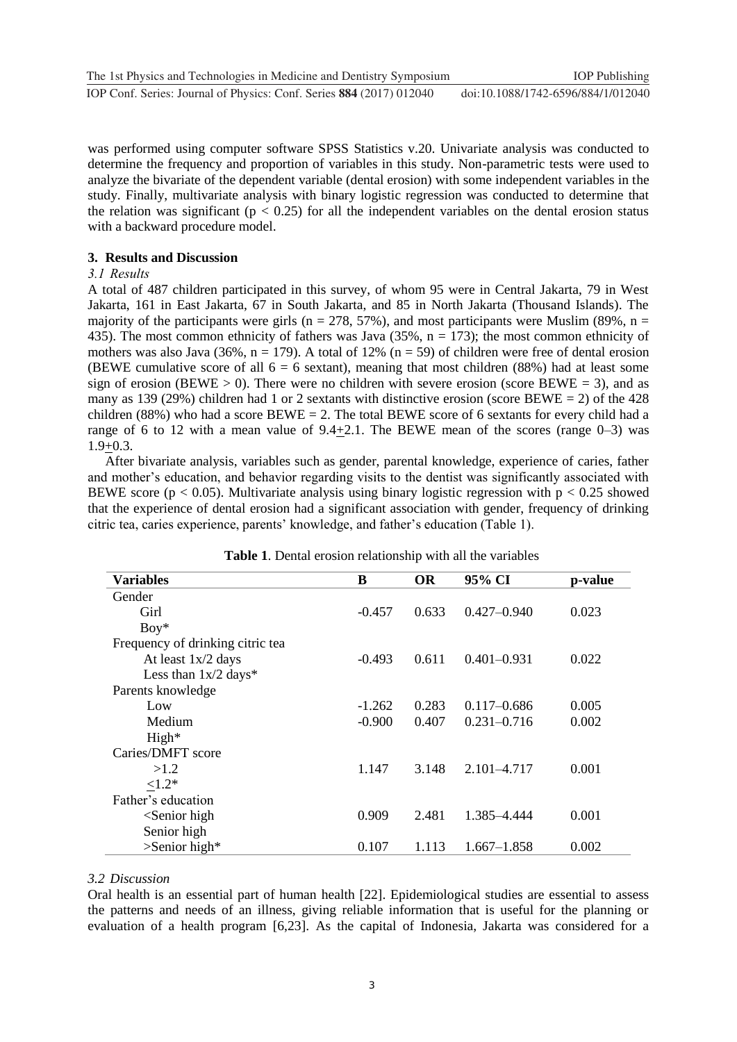was performed using computer software SPSS Statistics v.20. Univariate analysis was conducted to determine the frequency and proportion of variables in this study. Non-parametric tests were used to analyze the bivariate of the dependent variable (dental erosion) with some independent variables in the study. Finally, multivariate analysis with binary logistic regression was conducted to determine that the relation was significant ( $p < 0.25$ ) for all the independent variables on the dental erosion status with a backward procedure model.

# **3. Results and Discussion**

## *3.1 Results*

A total of 487 children participated in this survey, of whom 95 were in Central Jakarta, 79 in West Jakarta, 161 in East Jakarta, 67 in South Jakarta, and 85 in North Jakarta (Thousand Islands). The majority of the participants were girls ( $n = 278, 57\%$ ), and most participants were Muslim (89%,  $n =$ 435). The most common ethnicity of fathers was Java  $(35\%, n = 173)$ ; the most common ethnicity of mothers was also Java (36%,  $n = 179$ ). A total of 12% ( $n = 59$ ) of children were free of dental erosion (BEWE cumulative score of all  $6 = 6$  sextant), meaning that most children (88%) had at least some sign of erosion (BEWE  $> 0$ ). There were no children with severe erosion (score BEWE = 3), and as many as 139 (29%) children had 1 or 2 sextants with distinctive erosion (score BEWE = 2) of the 428 children (88%) who had a score  $BEWE = 2$ . The total BEWE score of 6 sextants for every child had a range of 6 to 12 with a mean value of  $9.4+2.1$ . The BEWE mean of the scores (range  $0-3$ ) was  $1.9+0.3.$ 

After bivariate analysis, variables such as gender, parental knowledge, experience of caries, father and mother's education, and behavior regarding visits to the dentist was significantly associated with BEWE score ( $p < 0.05$ ). Multivariate analysis using binary logistic regression with  $p < 0.25$  showed that the experience of dental erosion had a significant association with gender, frequency of drinking citric tea, caries experience, parents' knowledge, and father's education (Table 1).

| Variables                        | B        | <b>OR</b> | 95% CI          | p-value |
|----------------------------------|----------|-----------|-----------------|---------|
| Gender                           |          |           |                 |         |
| Girl                             | $-0.457$ | 0.633     | $0.427 - 0.940$ | 0.023   |
| $Boy*$                           |          |           |                 |         |
| Frequency of drinking citric tea |          |           |                 |         |
| At least 1x/2 days               | $-0.493$ | 0.611     | $0.401 - 0.931$ | 0.022   |
| Less than $1x/2$ days*           |          |           |                 |         |
| Parents knowledge                |          |           |                 |         |
| Low                              | $-1.262$ | 0.283     | $0.117 - 0.686$ | 0.005   |
| Medium                           | $-0.900$ | 0.407     | $0.231 - 0.716$ | 0.002   |
| High*                            |          |           |                 |         |
| Caries/DMFT score                |          |           |                 |         |
| >1.2                             | 1.147    | 3.148     | 2.101-4.717     | 0.001   |
| ${<}1.2*$                        |          |           |                 |         |
| Father's education               |          |           |                 |         |
| $\le$ Senior high                | 0.909    | 2.481     | 1.385-4.444     | 0.001   |
| Senior high                      |          |           |                 |         |
| $\supset$ Senior high*           | 0.107    | 1.113     | $1.667 - 1.858$ | 0.002   |

**Table 1**. Dental erosion relationship with all the variables

# *3.2 Discussion*

Oral health is an essential part of human health [22]. Epidemiological studies are essential to assess the patterns and needs of an illness, giving reliable information that is useful for the planning or evaluation of a health program [6,23]. As the capital of Indonesia, Jakarta was considered for a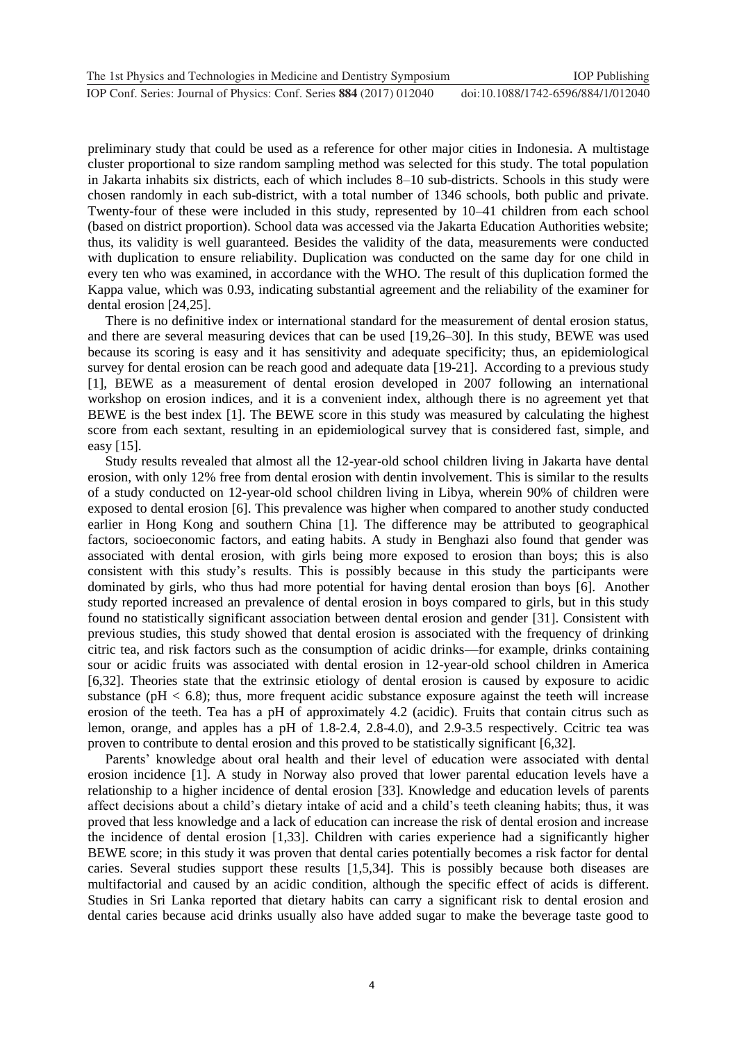preliminary study that could be used as a reference for other major cities in Indonesia. A multistage cluster proportional to size random sampling method was selected for this study. The total population in Jakarta inhabits six districts, each of which includes 8–10 sub-districts. Schools in this study were chosen randomly in each sub-district, with a total number of 1346 schools, both public and private. Twenty-four of these were included in this study, represented by 10–41 children from each school (based on district proportion). School data was accessed via the Jakarta Education Authorities website; thus, its validity is well guaranteed. Besides the validity of the data, measurements were conducted with duplication to ensure reliability. Duplication was conducted on the same day for one child in every ten who was examined, in accordance with the WHO. The result of this duplication formed the Kappa value, which was 0.93, indicating substantial agreement and the reliability of the examiner for dental erosion [24,25].

There is no definitive index or international standard for the measurement of dental erosion status, and there are several measuring devices that can be used [19,26–30]. In this study, BEWE was used because its scoring is easy and it has sensitivity and adequate specificity; thus, an epidemiological survey for dental erosion can be reach good and adequate data [19-21]. According to a previous study [1], BEWE as a measurement of dental erosion developed in 2007 following an international workshop on erosion indices, and it is a convenient index, although there is no agreement yet that BEWE is the best index [1]. The BEWE score in this study was measured by calculating the highest score from each sextant, resulting in an epidemiological survey that is considered fast, simple, and easy [15].

Study results revealed that almost all the 12-year-old school children living in Jakarta have dental erosion, with only 12% free from dental erosion with dentin involvement. This is similar to the results of a study conducted on 12-year-old school children living in Libya, wherein 90% of children were exposed to dental erosion [6]. This prevalence was higher when compared to another study conducted earlier in Hong Kong and southern China [1]. The difference may be attributed to geographical factors, socioeconomic factors, and eating habits. A study in Benghazi also found that gender was associated with dental erosion, with girls being more exposed to erosion than boys; this is also consistent with this study's results. This is possibly because in this study the participants were dominated by girls, who thus had more potential for having dental erosion than boys [6]. Another study reported increased an prevalence of dental erosion in boys compared to girls, but in this study found no statistically significant association between dental erosion and gender [31]. Consistent with previous studies, this study showed that dental erosion is associated with the frequency of drinking citric tea, and risk factors such as the consumption of acidic drinks—for example, drinks containing sour or acidic fruits was associated with dental erosion in 12-year-old school children in America [6,32]. Theories state that the extrinsic etiology of dental erosion is caused by exposure to acidic substance ( $pH < 6.8$ ); thus, more frequent acidic substance exposure against the teeth will increase erosion of the teeth. Tea has a pH of approximately 4.2 (acidic). Fruits that contain citrus such as lemon, orange, and apples has a pH of 1.8-2.4, 2.8-4.0), and 2.9-3.5 respectively. Ccitric tea was proven to contribute to dental erosion and this proved to be statistically significant [6,32].

Parents' knowledge about oral health and their level of education were associated with dental erosion incidence [1]. A study in Norway also proved that lower parental education levels have a relationship to a higher incidence of dental erosion [33]. Knowledge and education levels of parents affect decisions about a child's dietary intake of acid and a child's teeth cleaning habits; thus, it was proved that less knowledge and a lack of education can increase the risk of dental erosion and increase the incidence of dental erosion [1,33]. Children with caries experience had a significantly higher BEWE score; in this study it was proven that dental caries potentially becomes a risk factor for dental caries. Several studies support these results [1,5,34]. This is possibly because both diseases are multifactorial and caused by an acidic condition, although the specific effect of acids is different. Studies in Sri Lanka reported that dietary habits can carry a significant risk to dental erosion and dental caries because acid drinks usually also have added sugar to make the beverage taste good to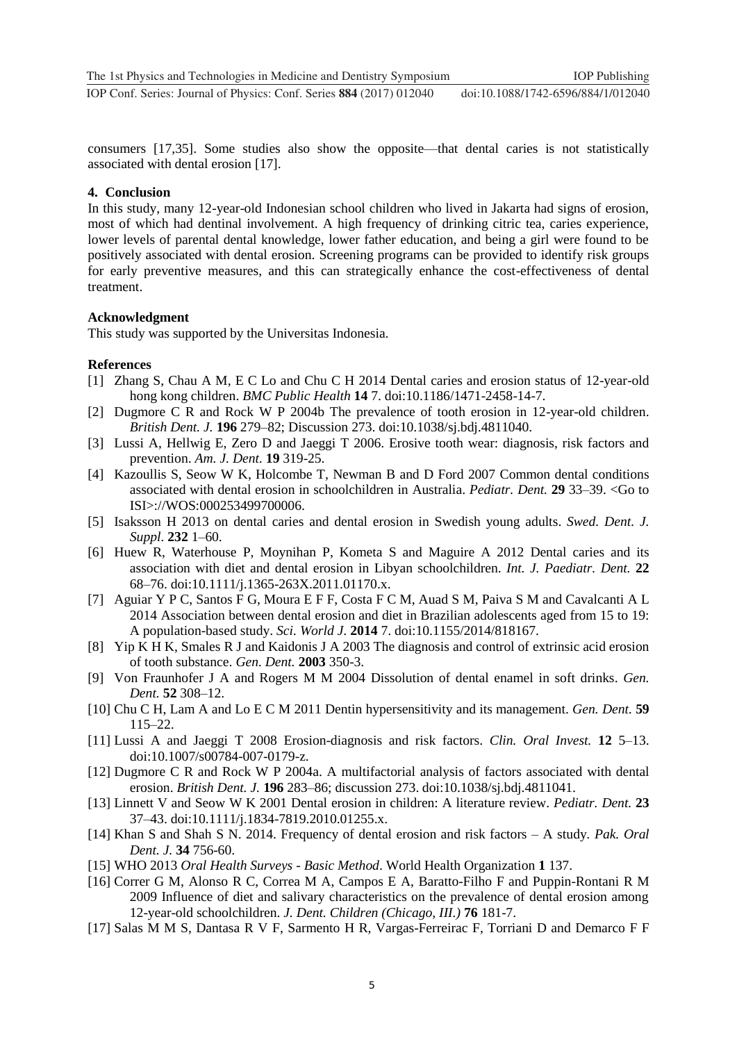consumers [17,35]. Some studies also show the opposite—that dental caries is not statistically associated with dental erosion [17].

#### **4. Conclusion**

In this study, many 12-year-old Indonesian school children who lived in Jakarta had signs of erosion, most of which had dentinal involvement. A high frequency of drinking citric tea, caries experience, lower levels of parental dental knowledge, lower father education, and being a girl were found to be positively associated with dental erosion. Screening programs can be provided to identify risk groups for early preventive measures, and this can strategically enhance the cost-effectiveness of dental treatment.

#### **Acknowledgment**

This study was supported by the Universitas Indonesia.

#### **References**

- [1] Zhang S, Chau A M, E C Lo and Chu C H 2014 Dental caries and erosion status of 12-year-old hong kong children. *BMC Public Health* **14** 7. doi:10.1186/1471-2458-14-7.
- [2] Dugmore C R and Rock W P 2004b The prevalence of tooth erosion in 12-year-old children. *British Dent. J.* **196** 279–82; Discussion 273. doi:10.1038/sj.bdj.4811040.
- [3] Lussi A, Hellwig E, Zero D and Jaeggi T 2006. Erosive tooth wear: diagnosis, risk factors and prevention. *Am. J. Dent.* **19** 319-25.
- [4] Kazoullis S, Seow W K, Holcombe T, Newman B and D Ford 2007 Common dental conditions associated with dental erosion in schoolchildren in Australia. *Pediatr. Dent.* **29** 33–39. <Go to ISI>://WOS:000253499700006.
- [5] Isaksson H 2013 on dental caries and dental erosion in Swedish young adults. *Swed. Dent. J. Suppl.* **232** 1–60.
- [6] Huew R, Waterhouse P, Moynihan P, Kometa S and Maguire A 2012 Dental caries and its association with diet and dental erosion in Libyan schoolchildren. *Int. J. Paediatr. Dent.* **22** 68–76. doi:10.1111/j.1365-263X.2011.01170.x.
- [7] Aguiar Y P C, Santos F G, Moura E F F, Costa F C M, Auad S M, Paiva S M and Cavalcanti A L 2014 Association between dental erosion and diet in Brazilian adolescents aged from 15 to 19: A population-based study. *Sci. World J.* **2014** 7. doi:10.1155/2014/818167.
- [8] Yip K H K, Smales R J and Kaidonis J A 2003 The diagnosis and control of extrinsic acid erosion of tooth substance. *Gen. Dent.* **2003** 350-3.
- [9] Von Fraunhofer J A and Rogers M M 2004 Dissolution of dental enamel in soft drinks. *Gen. Dent.* **52** 308–12.
- [10] Chu C H, Lam A and Lo E C M 2011 Dentin hypersensitivity and its management. *Gen. Dent.* **59** 115–22.
- [11] Lussi A and Jaeggi T 2008 Erosion-diagnosis and risk factors. *Clin. Oral Invest.* **12** 5–13. doi:10.1007/s00784-007-0179-z.
- [12] Dugmore C R and Rock W P 2004a. A multifactorial analysis of factors associated with dental erosion. *British Dent. J.* **196** 283–86; discussion 273. doi:10.1038/sj.bdj.4811041.
- [13] Linnett V and Seow W K 2001 Dental erosion in children: A literature review. *Pediatr. Dent.* **23** 37–43. doi:10.1111/j.1834-7819.2010.01255.x.
- [14] Khan S and Shah S N. 2014. Frequency of dental erosion and risk factors A study*. Pak. Oral Dent. J.* **34** 756-60.
- [15] WHO 2013 *Oral Health Surveys - Basic Method*. World Health Organization **1** 137.
- [16] [Correr G](http://www.ncbi.nlm.nih.gov/pubmed/?term=Correr%20GM%5BAuthor%5D&cauthor=true&cauthor_uid=19941758) M, [Alonso](http://www.ncbi.nlm.nih.gov/pubmed/?term=Alonso%20RC%5BAuthor%5D&cauthor=true&cauthor_uid=19941758) R C, [Correa](http://www.ncbi.nlm.nih.gov/pubmed/?term=Correa%20MA%5BAuthor%5D&cauthor=true&cauthor_uid=19941758) M A, [Campos](http://www.ncbi.nlm.nih.gov/pubmed/?term=Campos%20EA%5BAuthor%5D&cauthor=true&cauthor_uid=19941758) E A, [Baratto-Filho](http://www.ncbi.nlm.nih.gov/pubmed/?term=Baratto-Filho%20F%5BAuthor%5D&cauthor=true&cauthor_uid=19941758) F and [Puppin-Rontani](http://www.ncbi.nlm.nih.gov/pubmed/?term=Puppin-Rontani%20RM%5BAuthor%5D&cauthor=true&cauthor_uid=19941758) R M 2009 Influence of diet and salivary characteristics on the prevalence of dental erosion among 12-year-old schoolchildren. *J. Dent. [Children \(Chicago, III.\)](http://www.ncbi.nlm.nih.gov/pubmed/19941758)* **76** 181-7.
- [17] Salas M M S, Dantasa R V F, Sarmento H R, Vargas-Ferreirac F, Torriani D and Demarco F F